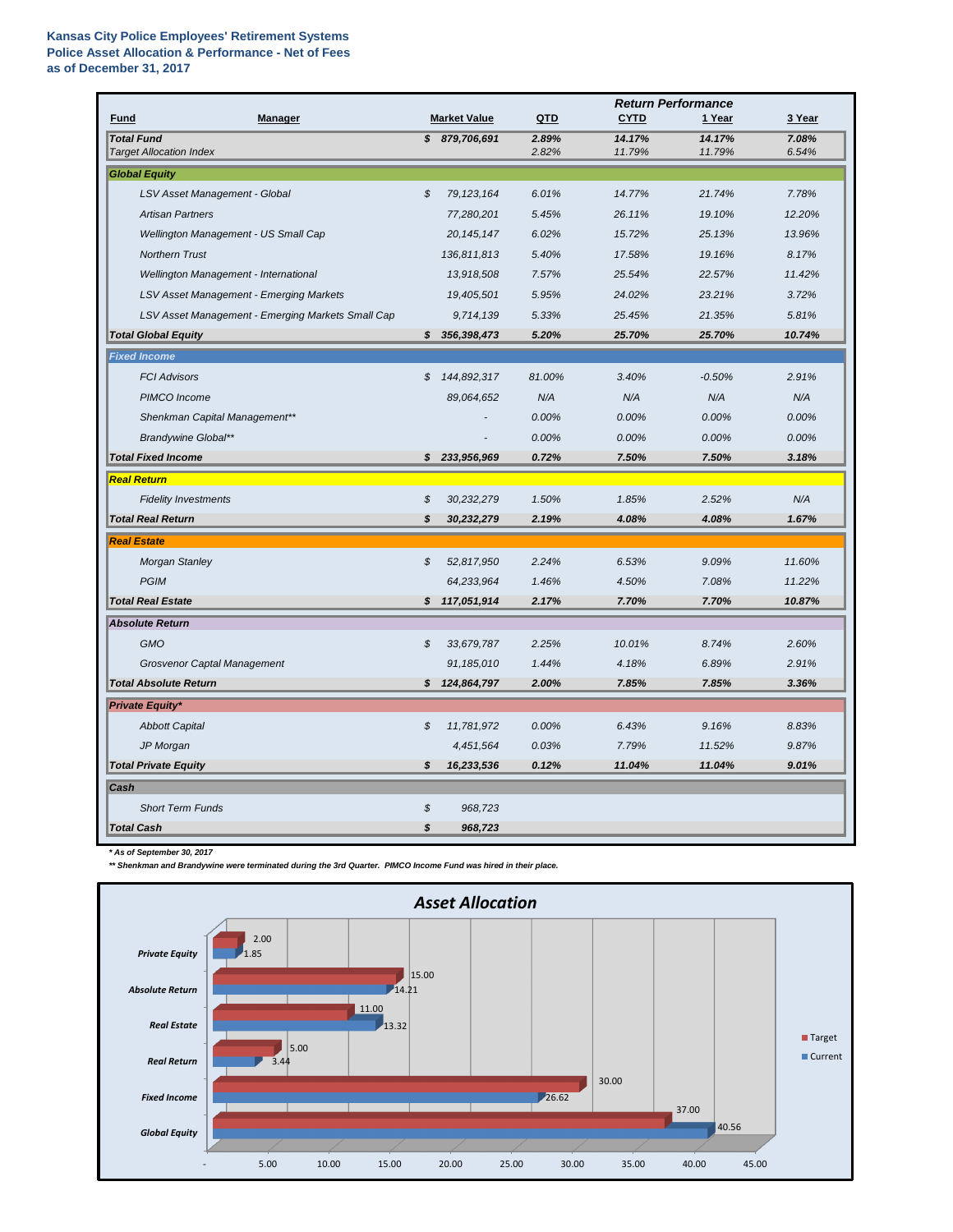## **Kansas City Police Employees' Retirement Systems Police Asset Allocation & Performance - Net of Fees as of December 31, 2017**

| <b>Market Value</b><br>QTD<br><b>CYTD</b><br>1 Year<br>3 Year<br><b>Fund</b><br><b>Manager</b><br><b>Total Fund</b><br>2.89%<br>14.17%<br>14.17%<br>7.08%<br>\$879,706,691<br><b>Target Allocation Index</b><br>2.82%<br>11.79%<br>11.79%<br>6.54%<br><b>Global Equity</b><br>$\mathcal{L}$<br>LSV Asset Management - Global<br>79, 123, 164<br>6.01%<br>14.77%<br>21.74%<br>7.78%<br><b>Artisan Partners</b><br>5.45%<br>26.11%<br>19.10%<br>12.20%<br>77,280,201<br>Wellington Management - US Small Cap<br>13.96%<br>20, 145, 147<br>6.02%<br>15.72%<br>25.13%<br><b>Northern Trust</b><br>5.40%<br>8.17%<br>136,811,813<br>17.58%<br>19.16%<br>13,918,508<br>7.57%<br>25.54%<br>11.42%<br>Wellington Management - International<br>22.57%<br>LSV Asset Management - Emerging Markets<br>19,405,501<br>5.95%<br>24.02%<br>23.21%<br>3.72%<br>LSV Asset Management - Emerging Markets Small Cap<br>5.81%<br>9,714,139<br>5.33%<br>25.45%<br>21.35%<br>\$356,398,473<br>5.20%<br>25.70%<br>10.74%<br><b>Total Global Equity</b><br>25.70%<br><b>Fixed Income</b><br>81.00%<br>3.40%<br>$-0.50%$<br>2.91%<br><b>FCI Advisors</b><br>S<br>144,892,317<br>PIMCO Income<br>89,064,652<br>N/A<br>N/A<br>N/A<br>N/A<br>Shenkman Capital Management**<br>0.00%<br>0.00%<br>0.00%<br>0.00%<br><b>Brandywine Global**</b><br>0.00%<br>0.00%<br>0.00%<br>0.00%<br><b>Total Fixed Income</b><br>0.72%<br>3.18%<br>\$233,956,969<br>7.50%<br>7.50%<br><b>Real Return</b><br>N/A<br>$\boldsymbol{\mathcal{S}}$<br>1.50%<br>1.85%<br><b>Fidelity Investments</b><br>30,232,279<br>2.52%<br><b>Total Real Return</b><br>\$<br>30,232,279<br>2.19%<br>4.08%<br>4.08%<br>1.67%<br><b>Real Estate</b><br>$\boldsymbol{\mathcal{S}}$<br><b>Morgan Stanley</b><br>52,817,950<br>2.24%<br>6.53%<br>9.09%<br>11.60%<br><b>PGIM</b><br>64,233,964<br>1.46%<br>7.08%<br>11.22%<br>4.50%<br>10.87%<br><b>Total Real Estate</b><br>117,051,914<br>2.17%<br>7.70%<br>7.70%<br>\$<br><b>Absolute Return</b><br><b>GMO</b><br>2.60%<br>$\boldsymbol{\mathcal{S}}$<br>33,679,787<br>2.25%<br>10.01%<br>8.74%<br><b>Grosvenor Captal Management</b><br>91,185,010<br>1.44%<br>2.91%<br>4.18%<br>6.89%<br><b>Total Absolute Return</b><br>\$124,864,797<br>3.36%<br>2.00%<br>7.85%<br>7.85%<br><b>Private Equity*</b><br>\$<br>11,781,972<br>0.00%<br>9.16%<br>8.83%<br><b>Abbott Capital</b><br>6.43%<br>JP Morgan<br>4,451,564<br>0.03%<br>9.87%<br>7.79%<br>11.52% |  | <b>Return Performance</b> |  |  |  |  |
|----------------------------------------------------------------------------------------------------------------------------------------------------------------------------------------------------------------------------------------------------------------------------------------------------------------------------------------------------------------------------------------------------------------------------------------------------------------------------------------------------------------------------------------------------------------------------------------------------------------------------------------------------------------------------------------------------------------------------------------------------------------------------------------------------------------------------------------------------------------------------------------------------------------------------------------------------------------------------------------------------------------------------------------------------------------------------------------------------------------------------------------------------------------------------------------------------------------------------------------------------------------------------------------------------------------------------------------------------------------------------------------------------------------------------------------------------------------------------------------------------------------------------------------------------------------------------------------------------------------------------------------------------------------------------------------------------------------------------------------------------------------------------------------------------------------------------------------------------------------------------------------------------------------------------------------------------------------------------------------------------------------------------------------------------------------------------------------------------------------------------------------------------------------------------------------------------------------------------------------------------------------------------------------------------------------------------------------------------------------------------------------------------------------------------------------|--|---------------------------|--|--|--|--|
|                                                                                                                                                                                                                                                                                                                                                                                                                                                                                                                                                                                                                                                                                                                                                                                                                                                                                                                                                                                                                                                                                                                                                                                                                                                                                                                                                                                                                                                                                                                                                                                                                                                                                                                                                                                                                                                                                                                                                                                                                                                                                                                                                                                                                                                                                                                                                                                                                                        |  |                           |  |  |  |  |
|                                                                                                                                                                                                                                                                                                                                                                                                                                                                                                                                                                                                                                                                                                                                                                                                                                                                                                                                                                                                                                                                                                                                                                                                                                                                                                                                                                                                                                                                                                                                                                                                                                                                                                                                                                                                                                                                                                                                                                                                                                                                                                                                                                                                                                                                                                                                                                                                                                        |  |                           |  |  |  |  |
|                                                                                                                                                                                                                                                                                                                                                                                                                                                                                                                                                                                                                                                                                                                                                                                                                                                                                                                                                                                                                                                                                                                                                                                                                                                                                                                                                                                                                                                                                                                                                                                                                                                                                                                                                                                                                                                                                                                                                                                                                                                                                                                                                                                                                                                                                                                                                                                                                                        |  |                           |  |  |  |  |
|                                                                                                                                                                                                                                                                                                                                                                                                                                                                                                                                                                                                                                                                                                                                                                                                                                                                                                                                                                                                                                                                                                                                                                                                                                                                                                                                                                                                                                                                                                                                                                                                                                                                                                                                                                                                                                                                                                                                                                                                                                                                                                                                                                                                                                                                                                                                                                                                                                        |  |                           |  |  |  |  |
|                                                                                                                                                                                                                                                                                                                                                                                                                                                                                                                                                                                                                                                                                                                                                                                                                                                                                                                                                                                                                                                                                                                                                                                                                                                                                                                                                                                                                                                                                                                                                                                                                                                                                                                                                                                                                                                                                                                                                                                                                                                                                                                                                                                                                                                                                                                                                                                                                                        |  |                           |  |  |  |  |
|                                                                                                                                                                                                                                                                                                                                                                                                                                                                                                                                                                                                                                                                                                                                                                                                                                                                                                                                                                                                                                                                                                                                                                                                                                                                                                                                                                                                                                                                                                                                                                                                                                                                                                                                                                                                                                                                                                                                                                                                                                                                                                                                                                                                                                                                                                                                                                                                                                        |  |                           |  |  |  |  |
|                                                                                                                                                                                                                                                                                                                                                                                                                                                                                                                                                                                                                                                                                                                                                                                                                                                                                                                                                                                                                                                                                                                                                                                                                                                                                                                                                                                                                                                                                                                                                                                                                                                                                                                                                                                                                                                                                                                                                                                                                                                                                                                                                                                                                                                                                                                                                                                                                                        |  |                           |  |  |  |  |
|                                                                                                                                                                                                                                                                                                                                                                                                                                                                                                                                                                                                                                                                                                                                                                                                                                                                                                                                                                                                                                                                                                                                                                                                                                                                                                                                                                                                                                                                                                                                                                                                                                                                                                                                                                                                                                                                                                                                                                                                                                                                                                                                                                                                                                                                                                                                                                                                                                        |  |                           |  |  |  |  |
|                                                                                                                                                                                                                                                                                                                                                                                                                                                                                                                                                                                                                                                                                                                                                                                                                                                                                                                                                                                                                                                                                                                                                                                                                                                                                                                                                                                                                                                                                                                                                                                                                                                                                                                                                                                                                                                                                                                                                                                                                                                                                                                                                                                                                                                                                                                                                                                                                                        |  |                           |  |  |  |  |
|                                                                                                                                                                                                                                                                                                                                                                                                                                                                                                                                                                                                                                                                                                                                                                                                                                                                                                                                                                                                                                                                                                                                                                                                                                                                                                                                                                                                                                                                                                                                                                                                                                                                                                                                                                                                                                                                                                                                                                                                                                                                                                                                                                                                                                                                                                                                                                                                                                        |  |                           |  |  |  |  |
|                                                                                                                                                                                                                                                                                                                                                                                                                                                                                                                                                                                                                                                                                                                                                                                                                                                                                                                                                                                                                                                                                                                                                                                                                                                                                                                                                                                                                                                                                                                                                                                                                                                                                                                                                                                                                                                                                                                                                                                                                                                                                                                                                                                                                                                                                                                                                                                                                                        |  |                           |  |  |  |  |
|                                                                                                                                                                                                                                                                                                                                                                                                                                                                                                                                                                                                                                                                                                                                                                                                                                                                                                                                                                                                                                                                                                                                                                                                                                                                                                                                                                                                                                                                                                                                                                                                                                                                                                                                                                                                                                                                                                                                                                                                                                                                                                                                                                                                                                                                                                                                                                                                                                        |  |                           |  |  |  |  |
|                                                                                                                                                                                                                                                                                                                                                                                                                                                                                                                                                                                                                                                                                                                                                                                                                                                                                                                                                                                                                                                                                                                                                                                                                                                                                                                                                                                                                                                                                                                                                                                                                                                                                                                                                                                                                                                                                                                                                                                                                                                                                                                                                                                                                                                                                                                                                                                                                                        |  |                           |  |  |  |  |
|                                                                                                                                                                                                                                                                                                                                                                                                                                                                                                                                                                                                                                                                                                                                                                                                                                                                                                                                                                                                                                                                                                                                                                                                                                                                                                                                                                                                                                                                                                                                                                                                                                                                                                                                                                                                                                                                                                                                                                                                                                                                                                                                                                                                                                                                                                                                                                                                                                        |  |                           |  |  |  |  |
|                                                                                                                                                                                                                                                                                                                                                                                                                                                                                                                                                                                                                                                                                                                                                                                                                                                                                                                                                                                                                                                                                                                                                                                                                                                                                                                                                                                                                                                                                                                                                                                                                                                                                                                                                                                                                                                                                                                                                                                                                                                                                                                                                                                                                                                                                                                                                                                                                                        |  |                           |  |  |  |  |
|                                                                                                                                                                                                                                                                                                                                                                                                                                                                                                                                                                                                                                                                                                                                                                                                                                                                                                                                                                                                                                                                                                                                                                                                                                                                                                                                                                                                                                                                                                                                                                                                                                                                                                                                                                                                                                                                                                                                                                                                                                                                                                                                                                                                                                                                                                                                                                                                                                        |  |                           |  |  |  |  |
|                                                                                                                                                                                                                                                                                                                                                                                                                                                                                                                                                                                                                                                                                                                                                                                                                                                                                                                                                                                                                                                                                                                                                                                                                                                                                                                                                                                                                                                                                                                                                                                                                                                                                                                                                                                                                                                                                                                                                                                                                                                                                                                                                                                                                                                                                                                                                                                                                                        |  |                           |  |  |  |  |
|                                                                                                                                                                                                                                                                                                                                                                                                                                                                                                                                                                                                                                                                                                                                                                                                                                                                                                                                                                                                                                                                                                                                                                                                                                                                                                                                                                                                                                                                                                                                                                                                                                                                                                                                                                                                                                                                                                                                                                                                                                                                                                                                                                                                                                                                                                                                                                                                                                        |  |                           |  |  |  |  |
|                                                                                                                                                                                                                                                                                                                                                                                                                                                                                                                                                                                                                                                                                                                                                                                                                                                                                                                                                                                                                                                                                                                                                                                                                                                                                                                                                                                                                                                                                                                                                                                                                                                                                                                                                                                                                                                                                                                                                                                                                                                                                                                                                                                                                                                                                                                                                                                                                                        |  |                           |  |  |  |  |
|                                                                                                                                                                                                                                                                                                                                                                                                                                                                                                                                                                                                                                                                                                                                                                                                                                                                                                                                                                                                                                                                                                                                                                                                                                                                                                                                                                                                                                                                                                                                                                                                                                                                                                                                                                                                                                                                                                                                                                                                                                                                                                                                                                                                                                                                                                                                                                                                                                        |  |                           |  |  |  |  |
|                                                                                                                                                                                                                                                                                                                                                                                                                                                                                                                                                                                                                                                                                                                                                                                                                                                                                                                                                                                                                                                                                                                                                                                                                                                                                                                                                                                                                                                                                                                                                                                                                                                                                                                                                                                                                                                                                                                                                                                                                                                                                                                                                                                                                                                                                                                                                                                                                                        |  |                           |  |  |  |  |
|                                                                                                                                                                                                                                                                                                                                                                                                                                                                                                                                                                                                                                                                                                                                                                                                                                                                                                                                                                                                                                                                                                                                                                                                                                                                                                                                                                                                                                                                                                                                                                                                                                                                                                                                                                                                                                                                                                                                                                                                                                                                                                                                                                                                                                                                                                                                                                                                                                        |  |                           |  |  |  |  |
|                                                                                                                                                                                                                                                                                                                                                                                                                                                                                                                                                                                                                                                                                                                                                                                                                                                                                                                                                                                                                                                                                                                                                                                                                                                                                                                                                                                                                                                                                                                                                                                                                                                                                                                                                                                                                                                                                                                                                                                                                                                                                                                                                                                                                                                                                                                                                                                                                                        |  |                           |  |  |  |  |
|                                                                                                                                                                                                                                                                                                                                                                                                                                                                                                                                                                                                                                                                                                                                                                                                                                                                                                                                                                                                                                                                                                                                                                                                                                                                                                                                                                                                                                                                                                                                                                                                                                                                                                                                                                                                                                                                                                                                                                                                                                                                                                                                                                                                                                                                                                                                                                                                                                        |  |                           |  |  |  |  |
|                                                                                                                                                                                                                                                                                                                                                                                                                                                                                                                                                                                                                                                                                                                                                                                                                                                                                                                                                                                                                                                                                                                                                                                                                                                                                                                                                                                                                                                                                                                                                                                                                                                                                                                                                                                                                                                                                                                                                                                                                                                                                                                                                                                                                                                                                                                                                                                                                                        |  |                           |  |  |  |  |
|                                                                                                                                                                                                                                                                                                                                                                                                                                                                                                                                                                                                                                                                                                                                                                                                                                                                                                                                                                                                                                                                                                                                                                                                                                                                                                                                                                                                                                                                                                                                                                                                                                                                                                                                                                                                                                                                                                                                                                                                                                                                                                                                                                                                                                                                                                                                                                                                                                        |  |                           |  |  |  |  |
|                                                                                                                                                                                                                                                                                                                                                                                                                                                                                                                                                                                                                                                                                                                                                                                                                                                                                                                                                                                                                                                                                                                                                                                                                                                                                                                                                                                                                                                                                                                                                                                                                                                                                                                                                                                                                                                                                                                                                                                                                                                                                                                                                                                                                                                                                                                                                                                                                                        |  |                           |  |  |  |  |
|                                                                                                                                                                                                                                                                                                                                                                                                                                                                                                                                                                                                                                                                                                                                                                                                                                                                                                                                                                                                                                                                                                                                                                                                                                                                                                                                                                                                                                                                                                                                                                                                                                                                                                                                                                                                                                                                                                                                                                                                                                                                                                                                                                                                                                                                                                                                                                                                                                        |  |                           |  |  |  |  |
|                                                                                                                                                                                                                                                                                                                                                                                                                                                                                                                                                                                                                                                                                                                                                                                                                                                                                                                                                                                                                                                                                                                                                                                                                                                                                                                                                                                                                                                                                                                                                                                                                                                                                                                                                                                                                                                                                                                                                                                                                                                                                                                                                                                                                                                                                                                                                                                                                                        |  |                           |  |  |  |  |
|                                                                                                                                                                                                                                                                                                                                                                                                                                                                                                                                                                                                                                                                                                                                                                                                                                                                                                                                                                                                                                                                                                                                                                                                                                                                                                                                                                                                                                                                                                                                                                                                                                                                                                                                                                                                                                                                                                                                                                                                                                                                                                                                                                                                                                                                                                                                                                                                                                        |  |                           |  |  |  |  |
|                                                                                                                                                                                                                                                                                                                                                                                                                                                                                                                                                                                                                                                                                                                                                                                                                                                                                                                                                                                                                                                                                                                                                                                                                                                                                                                                                                                                                                                                                                                                                                                                                                                                                                                                                                                                                                                                                                                                                                                                                                                                                                                                                                                                                                                                                                                                                                                                                                        |  |                           |  |  |  |  |
| <b>Total Private Equity</b><br>\$<br>16,233,536<br>0.12%<br>11.04%<br>11.04%<br>9.01%                                                                                                                                                                                                                                                                                                                                                                                                                                                                                                                                                                                                                                                                                                                                                                                                                                                                                                                                                                                                                                                                                                                                                                                                                                                                                                                                                                                                                                                                                                                                                                                                                                                                                                                                                                                                                                                                                                                                                                                                                                                                                                                                                                                                                                                                                                                                                  |  |                           |  |  |  |  |
| Cash                                                                                                                                                                                                                                                                                                                                                                                                                                                                                                                                                                                                                                                                                                                                                                                                                                                                                                                                                                                                                                                                                                                                                                                                                                                                                                                                                                                                                                                                                                                                                                                                                                                                                                                                                                                                                                                                                                                                                                                                                                                                                                                                                                                                                                                                                                                                                                                                                                   |  |                           |  |  |  |  |
| \$<br><b>Short Term Funds</b><br>968,723                                                                                                                                                                                                                                                                                                                                                                                                                                                                                                                                                                                                                                                                                                                                                                                                                                                                                                                                                                                                                                                                                                                                                                                                                                                                                                                                                                                                                                                                                                                                                                                                                                                                                                                                                                                                                                                                                                                                                                                                                                                                                                                                                                                                                                                                                                                                                                                               |  |                           |  |  |  |  |
| <b>Total Cash</b><br>$\boldsymbol{\mathsf{s}}$<br>968,723                                                                                                                                                                                                                                                                                                                                                                                                                                                                                                                                                                                                                                                                                                                                                                                                                                                                                                                                                                                                                                                                                                                                                                                                                                                                                                                                                                                                                                                                                                                                                                                                                                                                                                                                                                                                                                                                                                                                                                                                                                                                                                                                                                                                                                                                                                                                                                              |  |                           |  |  |  |  |

*\* As of September 30, 2017*

*\*\* Shenkman and Brandywine were terminated during the 3rd Quarter. PIMCO Income Fund was hired in their place.*